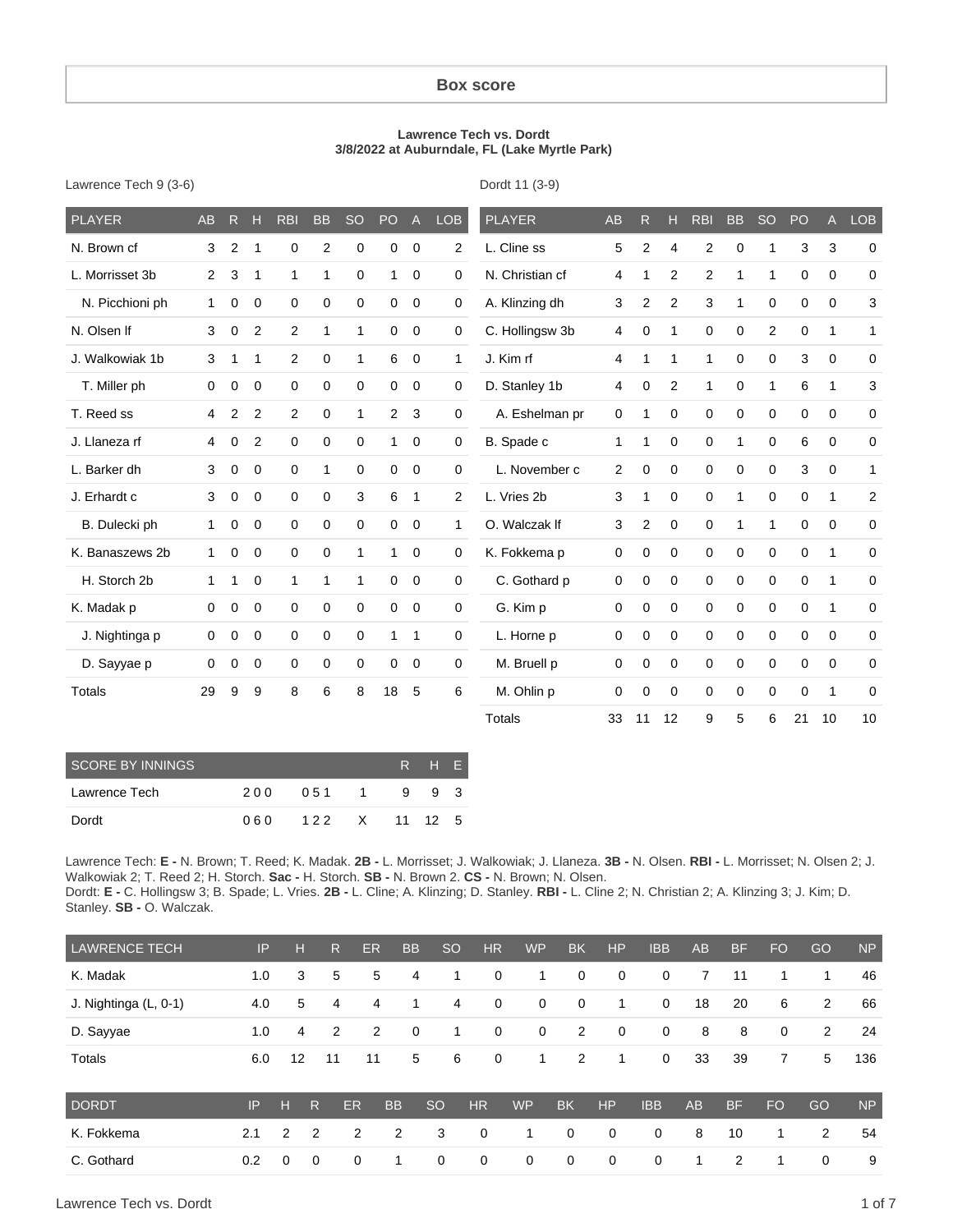#### **Box score**

#### **Lawrence Tech vs. Dordt 3/8/2022 at Auburndale, FL (Lake Myrtle Park)**

| Lawrence Tech 9 (3-6) |  |  |  |
|-----------------------|--|--|--|
|-----------------------|--|--|--|

Dordt 11 (3-9)

| <b>PLAYER</b>   | AB             | $\mathsf{R}$ | н           | <b>RBI</b>     | <b>BB</b>    | <b>SO</b>    | PO             | $\mathsf{A}$ | <b>LOB</b>     | <b>PLAYER</b>   | <b>AB</b>    | R.             | H.             | <b>RBI</b>     | <b>BB</b>    | <b>SO</b>    | PO          | A            | <b>LOB</b>     |
|-----------------|----------------|--------------|-------------|----------------|--------------|--------------|----------------|--------------|----------------|-----------------|--------------|----------------|----------------|----------------|--------------|--------------|-------------|--------------|----------------|
| N. Brown cf     | 3              | 2            | 1           | 0              | 2            | 0            | $\mathbf 0$    | $\mathbf 0$  | $\overline{2}$ | L. Cline ss     | 5            | 2              | 4              | $\overline{c}$ | 0            | 1            | 3           | $\mathbf{3}$ | 0              |
| L. Morrisset 3b | $\overline{2}$ | 3            | $\mathbf 1$ | $\mathbf{1}$   | 1            | 0            | 1              | 0            | $\mathbf 0$    | N. Christian cf | 4            | 1              | 2              | $\overline{c}$ | $\mathbf{1}$ | 1            | 0           | 0            | 0              |
| N. Picchioni ph | 1              | 0            | 0           | 0              | $\mathbf 0$  | 0            | $\mathbf 0$    | $\mathbf 0$  | 0              | A. Klinzing dh  | 3            | $\overline{c}$ | $\overline{2}$ | 3              | $\mathbf{1}$ | 0            | $\mathbf 0$ | 0            | 3              |
| N. Olsen If     | 3              | 0            | 2           | $\overline{2}$ | $\mathbf{1}$ | $\mathbf{1}$ | 0              | 0            | 0              | C. Hollingsw 3b | 4            | 0              | 1              | 0              | $\mathbf 0$  | 2            | 0           | 1            | $\mathbf{1}$   |
| J. Walkowiak 1b | 3              | 1            | $\mathbf 1$ | $\overline{2}$ | 0            | $\mathbf{1}$ | 6              | 0            | $\mathbf{1}$   | J. Kim rf       | 4            | 1              | 1              | 1              | $\mathbf 0$  | 0            | 3           | $\mathbf 0$  | $\mathbf 0$    |
| T. Miller ph    | 0              | 0            | 0           | 0              | 0            | 0            | 0              | 0            | $\mathbf 0$    | D. Stanley 1b   | 4            | 0              | 2              | 1              | $\mathbf 0$  | $\mathbf{1}$ | 6           | $\mathbf{1}$ | 3              |
| T. Reed ss      | 4              | 2            | 2           | $\overline{2}$ | $\mathbf 0$  | 1            | $\overline{2}$ | 3            | $\mathbf 0$    | A. Eshelman pr  | 0            | 1              | $\mathbf 0$    | $\mathbf 0$    | $\mathbf 0$  | 0            | 0           | $\mathbf 0$  | $\mathbf 0$    |
| J. Llaneza rf   | 4              | 0            | 2           | $\mathbf 0$    | $\mathbf 0$  | 0            | $\mathbf{1}$   | $\mathbf 0$  | $\mathbf 0$    | B. Spade c      | $\mathbf{1}$ | 1              | $\mathbf 0$    | 0              | $\mathbf{1}$ | 0            | 6           | $\mathbf 0$  | $\mathbf 0$    |
| L. Barker dh    | 3              | 0            | 0           | 0              | $\mathbf{1}$ | 0            | 0              | $\mathbf 0$  | $\mathbf 0$    | L. November c   | 2            | 0              | 0              | 0              | $\mathbf 0$  | 0            | 3           | $\mathbf 0$  | 1              |
| J. Erhardt c    | 3              | 0            | $\mathbf 0$ | 0              | 0            | 3            | 6              | $\mathbf{1}$ | $\overline{2}$ | L. Vries 2b     | 3            | 1              | 0              | 0              | 1            | 0            | 0           | $\mathbf{1}$ | $\overline{2}$ |
| B. Dulecki ph   | 1              | 0            | $\mathbf 0$ | 0              | $\mathbf 0$  | 0            | $\mathbf 0$    | $\mathbf 0$  | $\mathbf{1}$   | O. Walczak If   | 3            | $\overline{2}$ | $\mathbf 0$    | 0              | $\mathbf 1$  | $\mathbf{1}$ | 0           | $\mathbf 0$  | $\mathbf 0$    |
| K. Banaszews 2b | $\mathbf 1$    | 0            | $\mathbf 0$ | 0              | $\mathbf 0$  | 1            | 1              | 0            | $\mathbf 0$    | K. Fokkema p    | 0            | 0              | 0              | $\mathbf 0$    | $\mathbf 0$  | 0            | 0           | $\mathbf{1}$ | $\mathbf 0$    |
| H. Storch 2b    | 1              | 1            | $\mathbf 0$ | $\mathbf{1}$   | 1            | $\mathbf{1}$ | 0              | $\mathbf 0$  | 0              | C. Gothard p    | 0            | 0              | $\mathbf 0$    | 0              | 0            | 0            | 0           | $\mathbf{1}$ | $\mathbf 0$    |
| K. Madak p      | 0              | 0            | $\mathbf 0$ | $\mathbf 0$    | 0            | 0            | 0              | $\mathbf 0$  | $\mathbf 0$    | G. Kim p        | 0            | 0              | 0              | 0              | 0            | 0            | 0           | $\mathbf{1}$ | 0              |
| J. Nightinga p  | 0              | 0            | 0           | 0              | $\mathbf 0$  | 0            | 1              | 1            | $\mathbf 0$    | L. Horne p      | 0            | 0              | $\mathbf 0$    | $\mathbf 0$    | $\mathbf 0$  | 0            | $\mathbf 0$ | $\mathbf 0$  | $\mathbf 0$    |
| D. Sayyae p     | 0              | 0            | 0           | 0              | 0            | 0            | $\mathbf 0$    | $\mathbf 0$  | $\mathbf 0$    | M. Bruell p     | 0            | 0              | 0              | $\mathbf 0$    | $\mathbf 0$  | 0            | $\mathbf 0$ | $\mathbf 0$  | $\mathbf 0$    |
| Totals          | 29             | 9            | 9           | 8              | 6            | 8            | 18             | 5            | 6              | M. Ohlin p      | 0            | 0              | $\mathbf 0$    | 0              | 0            | 0            | 0           | 1            | $\mathbf 0$    |
|                 |                |              |             |                |              |              |                |              |                | <b>Totals</b>   | 33           | 11             | 12             | 9              | 5            | 6            | 21          | 10           | 10             |

| <b>SCORE BY INNINGS</b> |      |                 |   | R H F |  |
|-------------------------|------|-----------------|---|-------|--|
| Lawrence Tech           | 200  | 051 1           | 9 | 9 3   |  |
| Dordt                   | 06 Q | 1 2 2 X 11 12 5 |   |       |  |

Lawrence Tech: **E -** N. Brown; T. Reed; K. Madak. **2B -** L. Morrisset; J. Walkowiak; J. Llaneza. **3B -** N. Olsen. **RBI -** L. Morrisset; N. Olsen 2; J. Walkowiak 2; T. Reed 2; H. Storch. **Sac -** H. Storch. **SB -** N. Brown 2. **CS -** N. Brown; N. Olsen. Dordt: **E -** C. Hollingsw 3; B. Spade; L. Vries. **2B -** L. Cline; A. Klinzing; D. Stanley. **RBI -** L. Cline 2; N. Christian 2; A. Klinzing 3; J. Kim; D.

Stanley. **SB -** O. Walczak.

| <b>LAWRENCE TECH</b>  | IP  | н              |                | R<br><b>ER</b> | <b>BB</b>   | <sub>SO</sub> | HR | <b>WP</b>   |              | <b>BK</b> | <b>HP</b>   | <b>IBB</b>  | AB | <b>BF</b> | FO        | GO | <b>NP</b> |
|-----------------------|-----|----------------|----------------|----------------|-------------|---------------|----|-------------|--------------|-----------|-------------|-------------|----|-----------|-----------|----|-----------|
| K. Madak              | 1.0 | 3              |                | 5<br>5         | 4           | 1.            |    | 0           | 1            | 0         | $\mathbf 0$ | $\mathbf 0$ | 7  | 11        | 1         | 1  | 46        |
| J. Nightinga (L, 0-1) | 4.0 | 5              |                | 4<br>4         | 1           | 4             |    | 0           | 0            | 0         | 1.          | $\mathbf 0$ | 18 | 20        | 6         | 2  | 66        |
| D. Sayyae             | 1.0 | 4              |                | 2<br>2         | $\mathbf 0$ | 1             |    | $\mathbf 0$ | $\mathbf{0}$ | 2         | $\mathbf 0$ | $\mathbf 0$ | 8  | 8         | 0         | 2  | 24        |
| Totals                | 6.0 | 12             | 11             | 11             | 5           | 6             |    | 0           | 1            | 2         | 1           | $\mathbf 0$ | 33 | 39        | 7         | 5  | 136       |
| <b>DORDT</b>          | IP  | н              | R              | <b>ER</b>      | <b>BB</b>   | <b>SO</b>     | HR | <b>WP</b>   | <b>BK</b>    |           | HP          | <b>IBB</b>  | AB | <b>BF</b> | <b>FO</b> | GO | <b>NP</b> |
| K. Fokkema            | 2.1 | $\overline{2}$ | $\overline{2}$ | 2              | 2           | 3             | 0  | 1           | 0            |           | 0           | 0           | 8  | 10        | 1         | 2  | 54        |
| C. Gothard            | 0.2 | 0              | $\mathbf 0$    | 0              | 1           | 0             | 0  | 0           | 0            |           | 0           | 0           | 1  | 2         | 1         | 0  | 9         |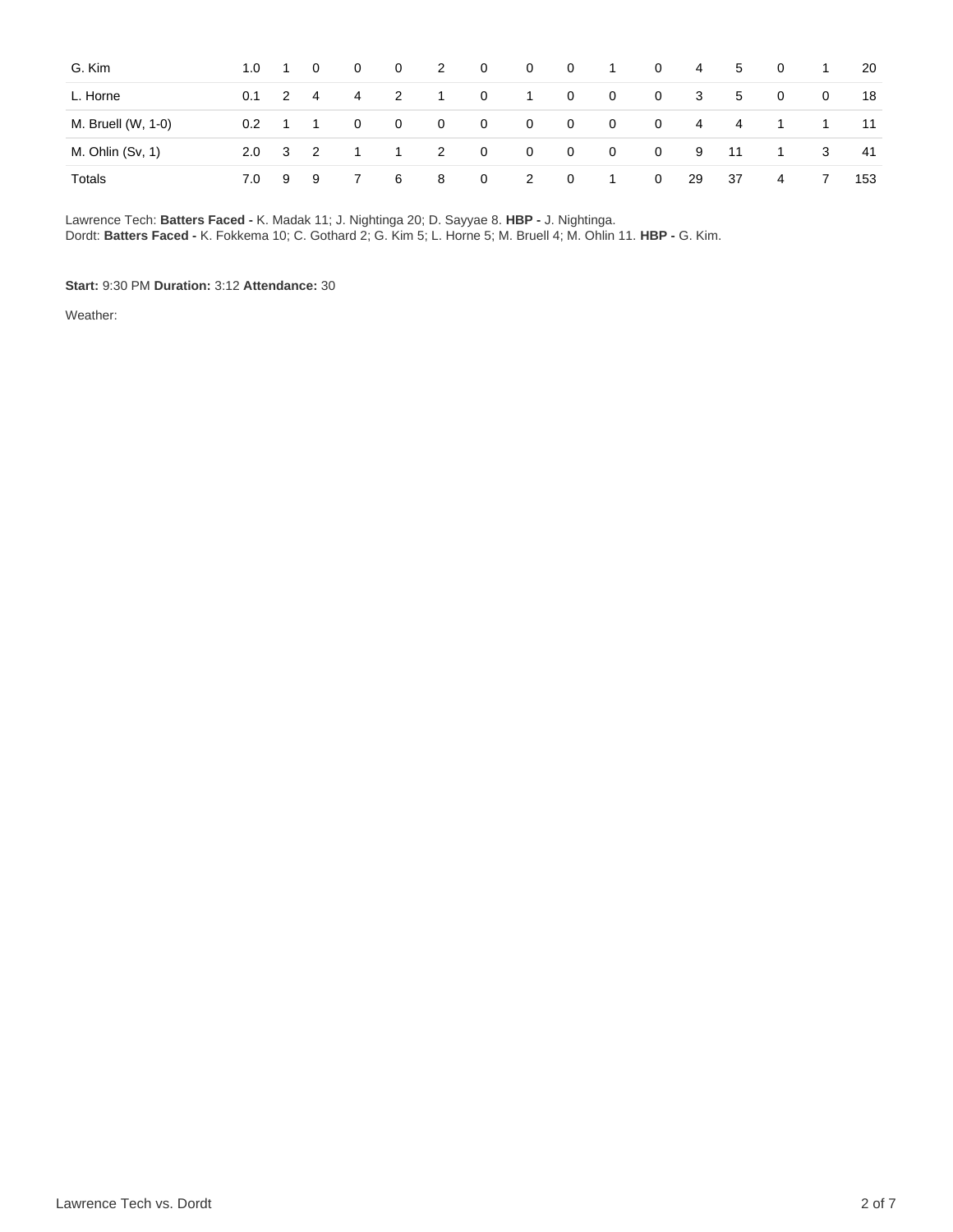| G. Kim             | 1.0              | $\blacksquare$ | $\overline{0}$ | $\mathbf{0}$   | - 0            | $\overline{2}$ | $\overline{0}$ | $\overline{0}$ | $\overline{\phantom{0}}$ | $\overline{1}$ | $\mathbf{0}$ | $\overline{4}$ | 5   | - 0            | $\overline{1}$ | 20  |
|--------------------|------------------|----------------|----------------|----------------|----------------|----------------|----------------|----------------|--------------------------|----------------|--------------|----------------|-----|----------------|----------------|-----|
| L. Horne           | 0.1              | $\overline{2}$ | $\overline{4}$ | $\overline{4}$ | $\overline{2}$ | $\overline{1}$ | $\mathbf{0}$   | $\overline{1}$ | $\overline{\mathbf{0}}$  | $\mathbf{0}$   | $\mathbf 0$  | 3              | 5   | $\overline{0}$ | $\mathbf{0}$   | 18  |
| M. Bruell (W, 1-0) | 0.2 <sub>0</sub> | $\overline{1}$ |                | $\mathbf{0}$   | $\overline{0}$ | - 0            | - 0            | - 0            | $\overline{\mathbf{0}}$  | $\overline{0}$ | $\mathbf{0}$ | 4              | 4   |                |                | 11  |
| M. Ohlin (Sv, 1)   | $2.0^{\circ}$    | $3\quad 2$     |                |                | $\blacksquare$ | $\overline{2}$ | $\overline{0}$ | - 0            | $\overline{\mathbf{0}}$  | $\overline{0}$ | $\mathbf{0}$ | 9              | -11 |                | 3              | -41 |
| Totals             | 7.0              | - 9            | - 9            |                | -6             | -8             | $\overline{0}$ | $\overline{2}$ | $\overline{0}$           | $\overline{1}$ | $\mathbf{0}$ | 29             | 37  | 4              | 7              | 153 |

Lawrence Tech: **Batters Faced -** K. Madak 11; J. Nightinga 20; D. Sayyae 8. **HBP -** J. Nightinga. Dordt: **Batters Faced -** K. Fokkema 10; C. Gothard 2; G. Kim 5; L. Horne 5; M. Bruell 4; M. Ohlin 11. **HBP -** G. Kim.

#### **Start:** 9:30 PM **Duration:** 3:12 **Attendance:** 30

Weather: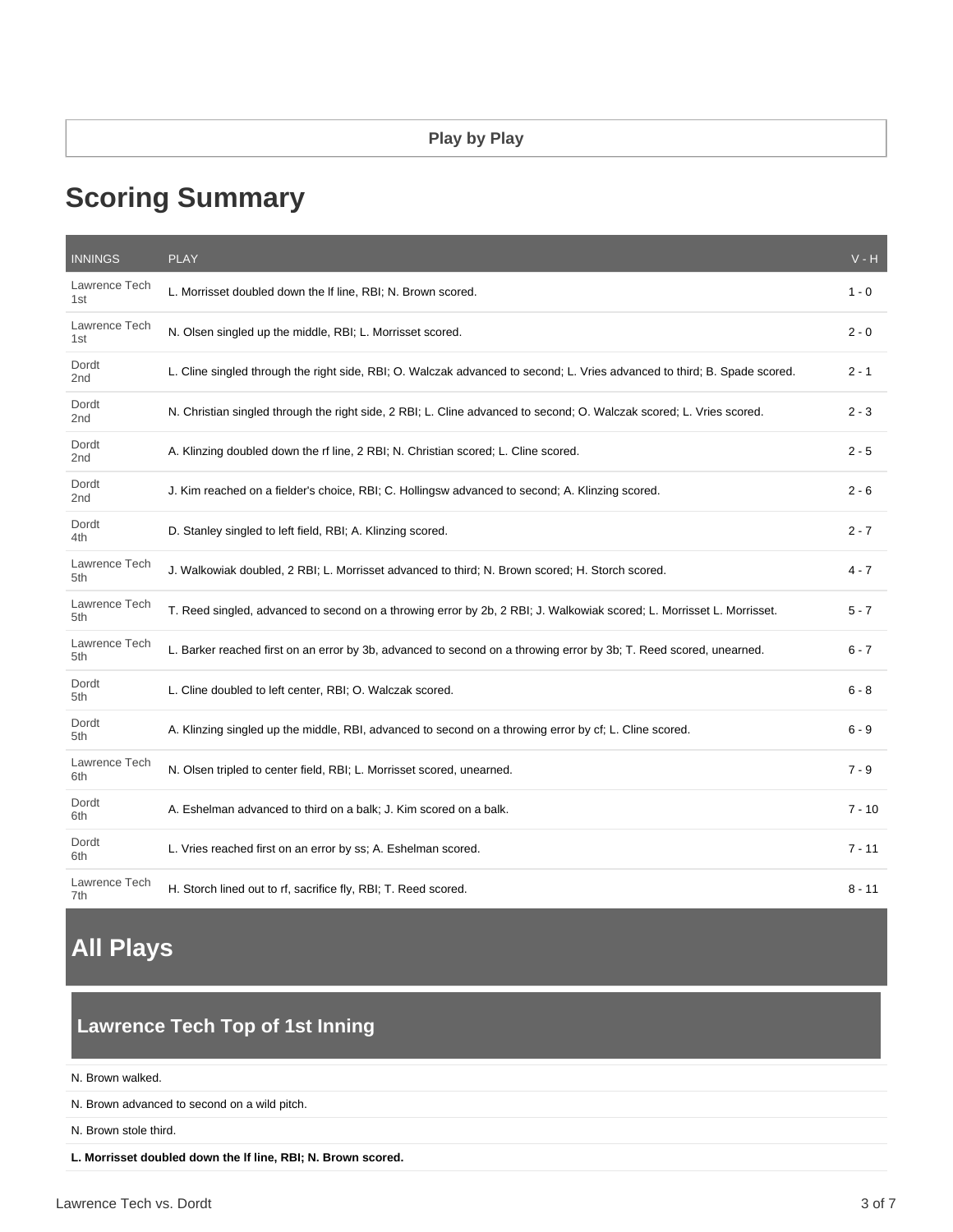# **Scoring Summary**

| <b>INNINGS</b>           | <b>PLAY</b>                                                                                                               | $V - H$  |
|--------------------------|---------------------------------------------------------------------------------------------------------------------------|----------|
| Lawrence Tech<br>1st     | L. Morrisset doubled down the If line, RBI; N. Brown scored.                                                              | $1 - 0$  |
| Lawrence Tech<br>1st     | N. Olsen singled up the middle, RBI; L. Morrisset scored.                                                                 | 2 - 0    |
| Dordt<br>2nd             | L. Cline singled through the right side, RBI; O. Walczak advanced to second; L. Vries advanced to third; B. Spade scored. | $2 - 1$  |
| Dordt<br>2nd             | N. Christian singled through the right side, 2 RBI; L. Cline advanced to second; O. Walczak scored; L. Vries scored.      | $2 - 3$  |
| Dordt<br>2nd             | A. Klinzing doubled down the rf line, 2 RBI; N. Christian scored; L. Cline scored.                                        | $2 - 5$  |
| Dordt<br>2 <sub>nd</sub> | J. Kim reached on a fielder's choice, RBI; C. Hollingsw advanced to second; A. Klinzing scored.                           | $2 - 6$  |
| Dordt<br>4th             | D. Stanley singled to left field, RBI; A. Klinzing scored.                                                                | $2 - 7$  |
| Lawrence Tech<br>5th     | J. Walkowiak doubled, 2 RBI; L. Morrisset advanced to third; N. Brown scored; H. Storch scored.                           | 4 - 7    |
| Lawrence Tech<br>5th     | T. Reed singled, advanced to second on a throwing error by 2b, 2 RBI; J. Walkowiak scored; L. Morrisset L. Morrisset.     | $5 - 7$  |
| Lawrence Tech<br>5th     | L. Barker reached first on an error by 3b, advanced to second on a throwing error by 3b; T. Reed scored, unearned.        | $6 - 7$  |
| Dordt<br>5th             | L. Cline doubled to left center, RBI; O. Walczak scored.                                                                  | $6 - 8$  |
| Dordt<br>5th             | A. Klinzing singled up the middle, RBI, advanced to second on a throwing error by cf; L. Cline scored.                    | $6 - 9$  |
| Lawrence Tech<br>6th     | N. Olsen tripled to center field, RBI; L. Morrisset scored, unearned.                                                     | $7 - 9$  |
| Dordt<br>6th             | A. Eshelman advanced to third on a balk; J. Kim scored on a balk.                                                         | $7 - 10$ |
| Dordt<br>6th             | L. Vries reached first on an error by ss; A. Eshelman scored.                                                             | $7 - 11$ |
| Lawrence Tech<br>7th     | H. Storch lined out to rf, sacrifice fly, RBI; T. Reed scored.                                                            | $8 - 11$ |

# **All Plays**

## **Lawrence Tech Top of 1st Inning**

N. Brown walked.

N. Brown advanced to second on a wild pitch.

N. Brown stole third.

**L. Morrisset doubled down the lf line, RBI; N. Brown scored.**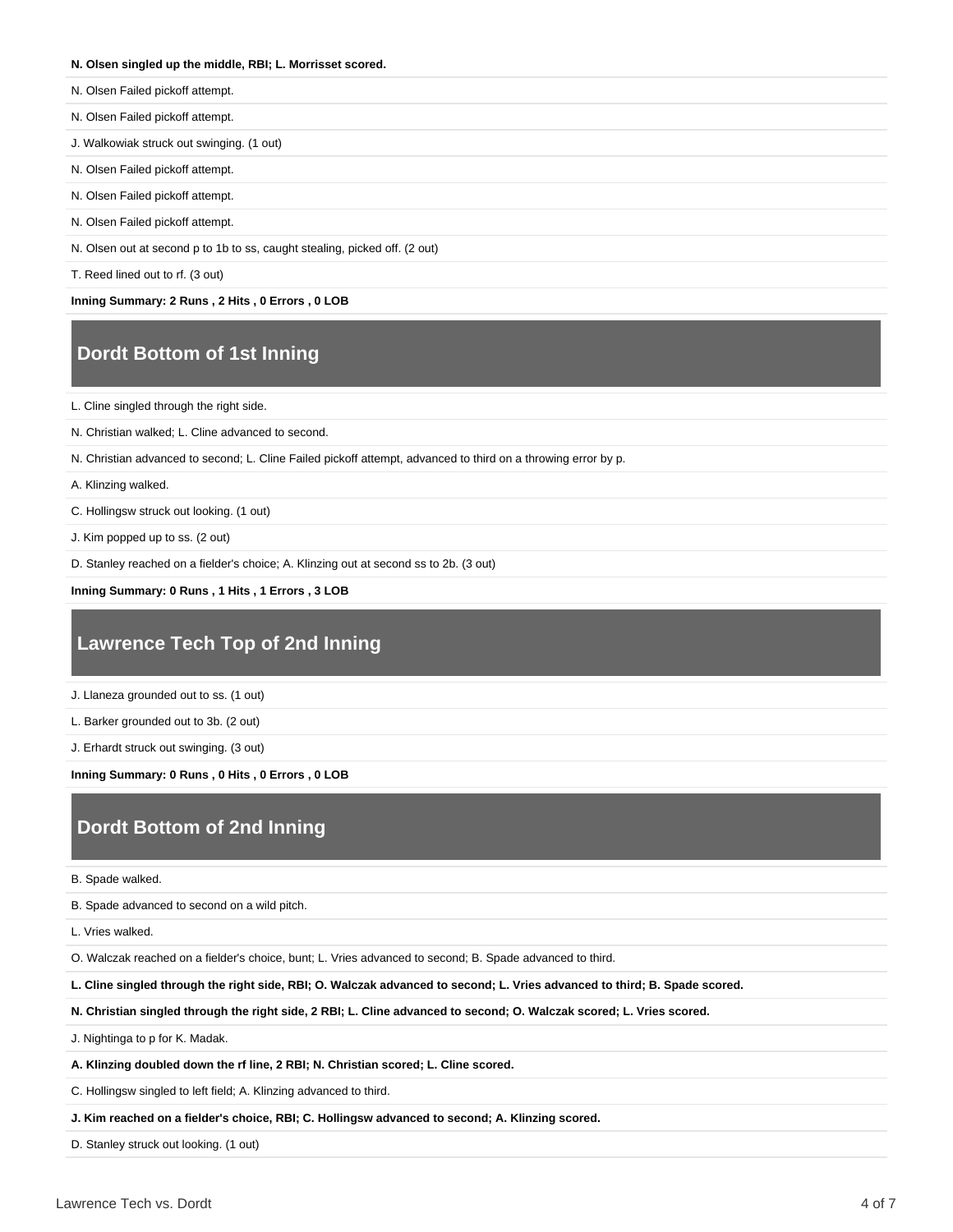#### **N. Olsen singled up the middle, RBI; L. Morrisset scored.**

- N. Olsen Failed pickoff attempt.
- N. Olsen Failed pickoff attempt.

J. Walkowiak struck out swinging. (1 out)

- N. Olsen Failed pickoff attempt.
- N. Olsen Failed pickoff attempt.
- N. Olsen Failed pickoff attempt.

N. Olsen out at second p to 1b to ss, caught stealing, picked off. (2 out)

T. Reed lined out to rf. (3 out)

**Inning Summary: 2 Runs , 2 Hits , 0 Errors , 0 LOB**

### **Dordt Bottom of 1st Inning**

L. Cline singled through the right side.

N. Christian walked; L. Cline advanced to second.

N. Christian advanced to second; L. Cline Failed pickoff attempt, advanced to third on a throwing error by p.

A. Klinzing walked.

C. Hollingsw struck out looking. (1 out)

J. Kim popped up to ss. (2 out)

D. Stanley reached on a fielder's choice; A. Klinzing out at second ss to 2b. (3 out)

**Inning Summary: 0 Runs , 1 Hits , 1 Errors , 3 LOB**

### **Lawrence Tech Top of 2nd Inning**

J. Llaneza grounded out to ss. (1 out)

L. Barker grounded out to 3b. (2 out)

J. Erhardt struck out swinging. (3 out)

**Inning Summary: 0 Runs , 0 Hits , 0 Errors , 0 LOB**

### **Dordt Bottom of 2nd Inning**

B. Spade walked.

B. Spade advanced to second on a wild pitch.

L. Vries walked.

O. Walczak reached on a fielder's choice, bunt; L. Vries advanced to second; B. Spade advanced to third.

**L. Cline singled through the right side, RBI; O. Walczak advanced to second; L. Vries advanced to third; B. Spade scored.**

**N. Christian singled through the right side, 2 RBI; L. Cline advanced to second; O. Walczak scored; L. Vries scored.**

J. Nightinga to p for K. Madak.

**A. Klinzing doubled down the rf line, 2 RBI; N. Christian scored; L. Cline scored.**

C. Hollingsw singled to left field; A. Klinzing advanced to third.

**J. Kim reached on a fielder's choice, RBI; C. Hollingsw advanced to second; A. Klinzing scored.**

D. Stanley struck out looking. (1 out)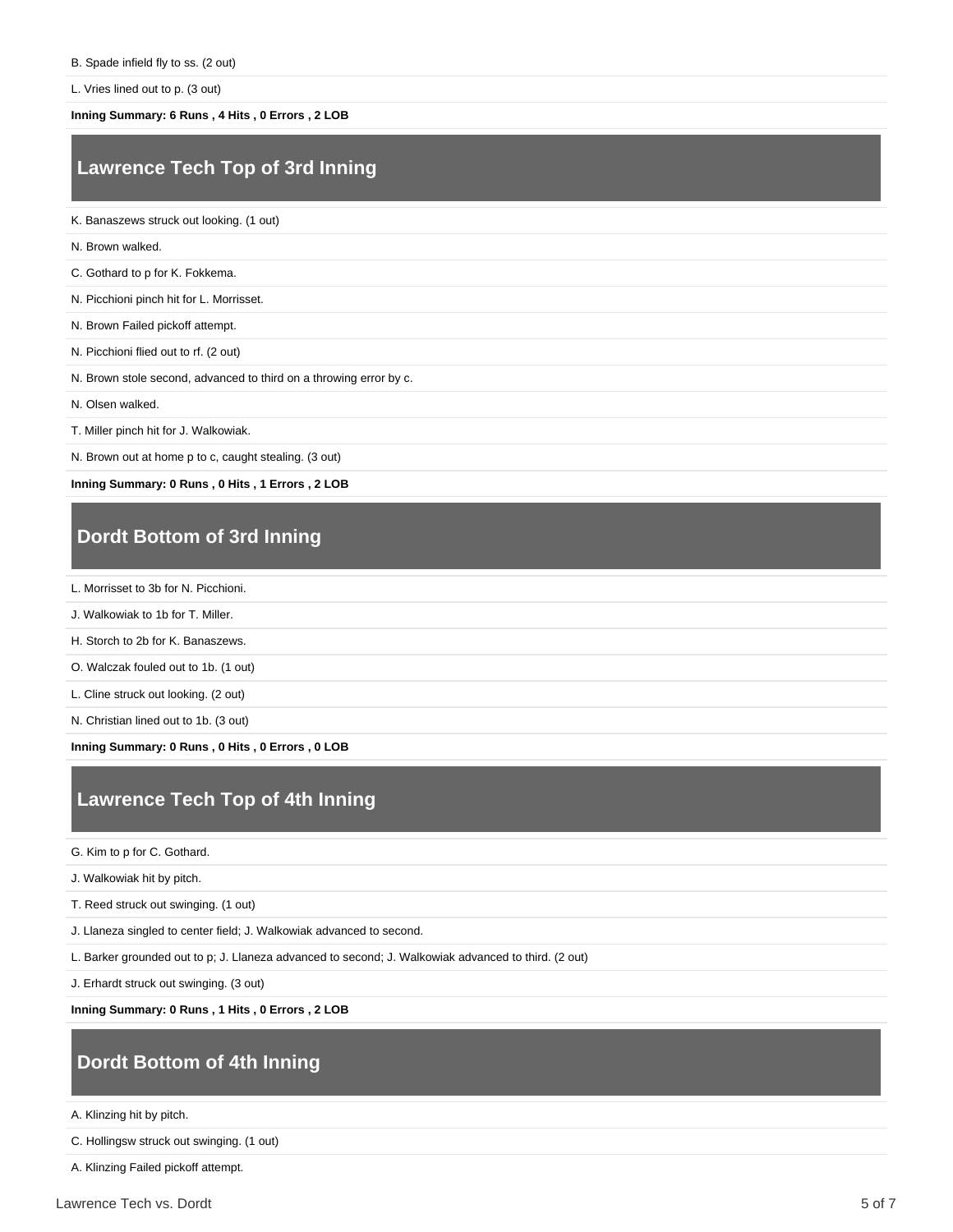L. Vries lined out to p. (3 out)

**Inning Summary: 6 Runs , 4 Hits , 0 Errors , 2 LOB**

### **Lawrence Tech Top of 3rd Inning**

K. Banaszews struck out looking. (1 out)

N. Brown walked.

C. Gothard to p for K. Fokkema.

N. Picchioni pinch hit for L. Morrisset.

N. Brown Failed pickoff attempt.

N. Picchioni flied out to rf. (2 out)

N. Brown stole second, advanced to third on a throwing error by c.

N. Olsen walked.

T. Miller pinch hit for J. Walkowiak.

N. Brown out at home p to c, caught stealing. (3 out)

**Inning Summary: 0 Runs , 0 Hits , 1 Errors , 2 LOB**

### **Dordt Bottom of 3rd Inning**

L. Morrisset to 3b for N. Picchioni.

J. Walkowiak to 1b for T. Miller.

H. Storch to 2b for K. Banaszews.

O. Walczak fouled out to 1b. (1 out)

L. Cline struck out looking. (2 out)

N. Christian lined out to 1b. (3 out)

**Inning Summary: 0 Runs , 0 Hits , 0 Errors , 0 LOB**

#### **Lawrence Tech Top of 4th Inning**

G. Kim to p for C. Gothard.

J. Walkowiak hit by pitch.

T. Reed struck out swinging. (1 out)

J. Llaneza singled to center field; J. Walkowiak advanced to second.

L. Barker grounded out to p; J. Llaneza advanced to second; J. Walkowiak advanced to third. (2 out)

J. Erhardt struck out swinging. (3 out)

**Inning Summary: 0 Runs , 1 Hits , 0 Errors , 2 LOB**

#### **Dordt Bottom of 4th Inning**

A. Klinzing hit by pitch.

C. Hollingsw struck out swinging. (1 out)

A. Klinzing Failed pickoff attempt.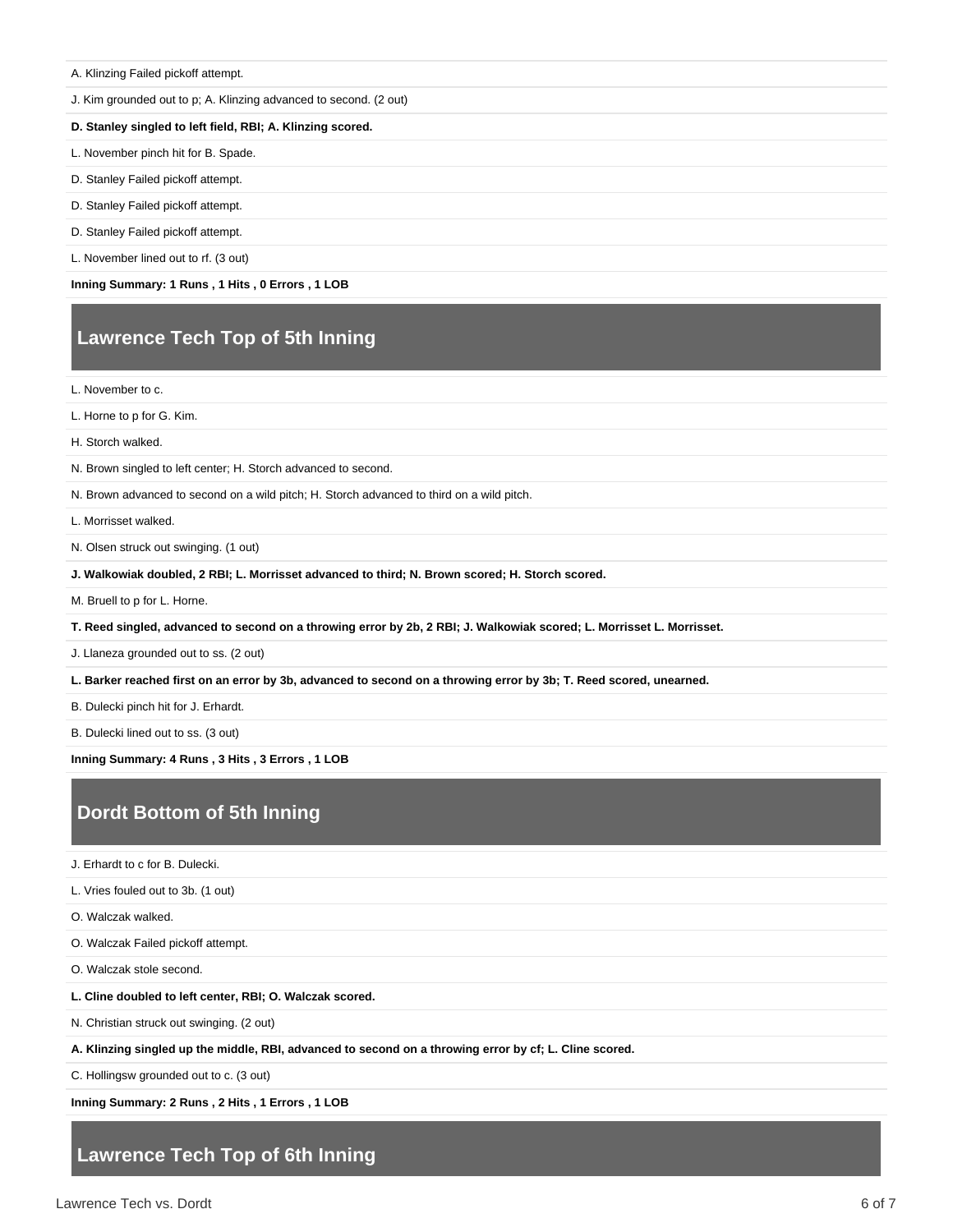#### A. Klinzing Failed pickoff attempt.

J. Kim grounded out to p; A. Klinzing advanced to second. (2 out)

#### **D. Stanley singled to left field, RBI; A. Klinzing scored.**

L. November pinch hit for B. Spade.

- D. Stanley Failed pickoff attempt.
- D. Stanley Failed pickoff attempt.
- D. Stanley Failed pickoff attempt.
- L. November lined out to rf. (3 out)

**Inning Summary: 1 Runs , 1 Hits , 0 Errors , 1 LOB**

#### **Lawrence Tech Top of 5th Inning**

L. November to c.

L. Horne to p for G. Kim.

H. Storch walked.

N. Brown singled to left center; H. Storch advanced to second.

N. Brown advanced to second on a wild pitch; H. Storch advanced to third on a wild pitch.

L. Morrisset walked.

N. Olsen struck out swinging. (1 out)

**J. Walkowiak doubled, 2 RBI; L. Morrisset advanced to third; N. Brown scored; H. Storch scored.**

M. Bruell to p for L. Horne.

**T. Reed singled, advanced to second on a throwing error by 2b, 2 RBI; J. Walkowiak scored; L. Morrisset L. Morrisset.**

J. Llaneza grounded out to ss. (2 out)

**L. Barker reached first on an error by 3b, advanced to second on a throwing error by 3b; T. Reed scored, unearned.**

B. Dulecki pinch hit for J. Erhardt.

B. Dulecki lined out to ss. (3 out)

**Inning Summary: 4 Runs , 3 Hits , 3 Errors , 1 LOB**

#### **Dordt Bottom of 5th Inning**

J. Erhardt to c for B. Dulecki.

L. Vries fouled out to 3b. (1 out)

O. Walczak walked.

O. Walczak Failed pickoff attempt.

O. Walczak stole second.

**L. Cline doubled to left center, RBI; O. Walczak scored.**

N. Christian struck out swinging. (2 out)

**A. Klinzing singled up the middle, RBI, advanced to second on a throwing error by cf; L. Cline scored.**

C. Hollingsw grounded out to c. (3 out)

**Inning Summary: 2 Runs , 2 Hits , 1 Errors , 1 LOB**

#### **Lawrence Tech Top of 6th Inning**